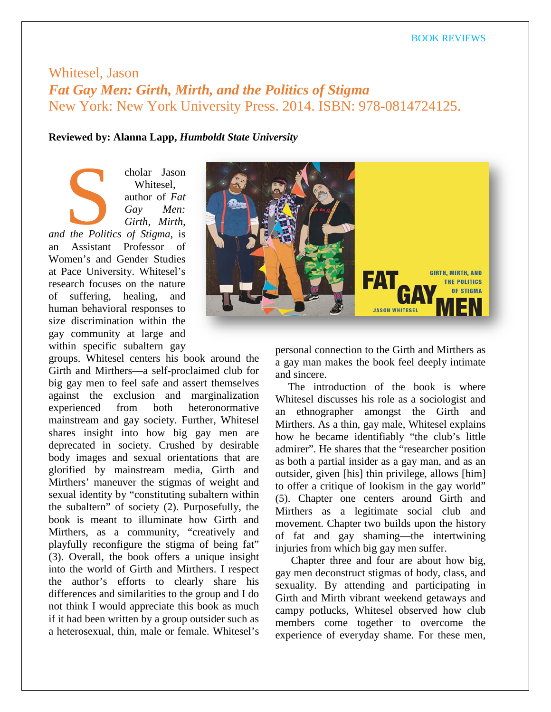## Whitesel, Jason *Fat Gay Men: Girth, Mirth, and the Politics of Stigma* New York: New York University Press. 2014. ISBN: 978-0814724125.

## **Reviewed by: Alanna Lapp,** *Humboldt State University*

cholar Jason Whitesel, author of *Fat Gay Men: Girth, Mirth,*  **and the Politics of Stigma**, is<br> **and the Politics of Stigma**, is an Assistant Professor of Women's and Gender Studies at Pace University. Whitesel's research focuses on the nature of suffering, healing, and human behavioral responses to size discrimination within the gay community at large and within specific subaltern gay

groups. Whitesel centers his book around the Girth and Mirthers—a self-proclaimed club for big gay men to feel safe and assert themselves against the exclusion and marginalization experienced from both heteronormative mainstream and gay society. Further, Whitesel shares insight into how big gay men are deprecated in society. Crushed by desirable body images and sexual orientations that are glorified by mainstream media, Girth and Mirthers' maneuver the stigmas of weight and sexual identity by "constituting subaltern within the subaltern" of society (2). Purposefully, the book is meant to illuminate how Girth and Mirthers, as a community, "creatively and playfully reconfigure the stigma of being fat" (3). Overall, the book offers a unique insight into the world of Girth and Mirthers. I respect the author's efforts to clearly share his differences and similarities to the group and I do not think I would appreciate this book as much if it had been written by a group outsider such as a heterosexual, thin, male or female. Whitesel's



personal connection to the Girth and Mirthers as a gay man makes the book feel deeply intimate and sincere.

The introduction of the book is where Whitesel discusses his role as a sociologist and an ethnographer amongst the Girth and Mirthers. As a thin, gay male, Whitesel explains how he became identifiably "the club's little admirer". He shares that the "researcher position as both a partial insider as a gay man, and as an outsider, given [his] thin privilege, allows [him] to offer a critique of lookism in the gay world" (5). Chapter one centers around Girth and Mirthers as a legitimate social club and movement. Chapter two builds upon the history of fat and gay shaming—the intertwining injuries from which big gay men suffer.

Chapter three and four are about how big, gay men deconstruct stigmas of body, class, and sexuality. By attending and participating in Girth and Mirth vibrant weekend getaways and campy potlucks, Whitesel observed how club members come together to overcome the experience of everyday shame. For these men,